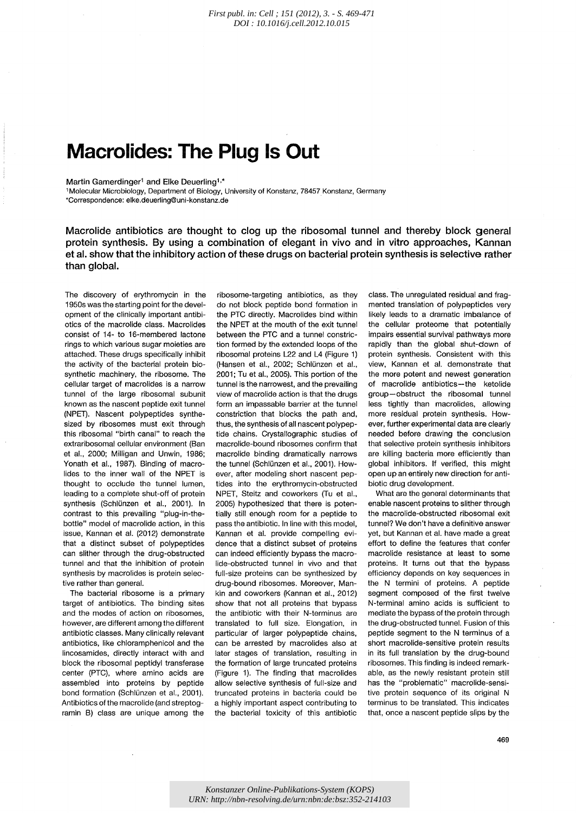# **Macrolides: The Plug Is Out**

## Martin Gamerdinger<sup>1</sup> and Elke Deuerling<sup>1,\*</sup>

<sup>1</sup>Molecular Microbiology, Department of Biology, University of Konstanz, 78457 Konstanz, Germany 'Correspondence: elke.deuerling@uni-konstanz.de

**Macrolide antibiotics are thought to clog up the ribosomal tunnel and thereby block general protein synthesis. By using a combination of elegant in vivo and in vitro approaches, Kannan et al. show that the inhibitory action of these drugs on bacterial protein synthesis is selective rather than global.** 

The discovery of erythromycin in the 1950s was the starting point for the development of the clinically important antibiotics of the macrolide class. Macrolides consist of 14- to 16-membered lactone rings to which various sugar moieties are attached. These drugs specifically inhibit the activity of the bacterial protein biosynthetic machinery, the ribosome. The cellular target of macrolides is a narrow tunnel of the large ribosomal subunit known as the nascent peptide exit tunnel (NPET). Nascent polypeptides synthesized by ribosomes must exit through this ribosomal "birth canal" to reach the extraribosomal cellular environment (Ban et aI., 2000; Milligan and Unwin, 1986; Yonath et al., 1987). Binding of macrolides to the inner wall of the NPET is thought to occlude the tunnel lumen, leading to a complete shut-off of protein synthesis (Schlünzen et al., 2001). In contrast to this prevailing "plug-in-thebottle" model of macrolide action, in this issue, Kannan et al. (2012) demonstrate that a distinct subset of polypeptides can slither through the drug-obstructed tunnel and that the inhibition of protein synthesis by macrolides is protein selective rather than general.

The bacterial ribosome is a primary target of antibiotics. The binding sites and the modes of action on ribosomes, however, are different among the different antibiotic classes. Many clinically relevant antibiotics, like chloramphenicol and the lincosamides, directly interact with and block the ribosomal peptidyl transferase center (PTC), where amino acids are assembled into proteins by peptide bond formation (Schlünzen et al., 2001). Antibiotics of the macrolide (and streptogramin B) class are unique among the

ribosome-targeting antibiotics, as they do not block peptide bond formation in the PTC directly. Macrolides bind within the NPET at the mouth of the exit tunnel between the PTC and a tunnel constriction formed by the extended loops of the ribosomal proteins L22 and L4 (Figure 1) (Hansen et al., 2002; Schlünzen et al., 2001; Tu et aI., 2005). This portion of the tunnel is the narrowest, and the prevailing view of macrolide action is that the drugs form an impassable barrier at the tunnel constriction that blocks the path and, thus, the synthesis of all nascent polypeptide chains. Crystallographic studies of macrolide-bound ribosomes confirm that macrolide binding dramatically narrows the tunnel (Schlünzen et al., 2001). However, after modeling short nascent peptides into the erythromycin-obstructed NPET, Steitz and coworkers (Tu et aI., 2005) hypothesized that there is potentially still enough room for a peptide to pass the antibiotic. In line with this model, Kannan et al. provide compelling evidence that a distinct subset of proteins can indeed efficiently bypass the macrolide-obstructed tunnel in vivo and that full-size proteins can be synthesized by drug-bound ribosomes. Moreover, Mankin and coworkers (Kannan et aI., 2012) show that not all proteins that bypass the antibiotic with their N-terminus are translated to full size. Elongation, in particular of larger polypeptide chains, can be arrested by macrolides also at later stages of translation, resulting in the formation of large truncated proteins (Figure 1). The finding that macrolides allow selective synthesis of full-size and truncated proteins in bacteria could be a highly important aspect contributing to the bacterial toxicity of this antibiotic

class. The unregulated residual and fragmented translation of polypeptides very likely leads to a dramatic imbalance of the cellular proteome that potentially impairs essential survival pathways more rapidly than the global shut-down of protein synthesis. Consistent with this view, Kannan et al. demonstrate that the more potent and newest generation of macrolide antibiotics-the ketolide group-obstruct the ribosomal tunnel less tightly than macrolides, allowing more residual protein synthesis. However, further experimental data are clearly needed before drawing the conclusion that selective protein synthesis inhibitors are killing bacteria more efficiently than global inhibitors. If verified, this might open up an entirely new direction for antibiotic drug development.

What are the general determinants that enable nascent proteins to slither through the macrolide-obstructed ribosomal exit tunnel? We don't have a definitive answer yet, but Kannan et al. have made a great effort to define the features that confer macrolide resistance at least to some proteins. It turns out that the bypass efficiency depends on key sequences in the N termini of proteins. A peptide segment composed of the first twelve N-terminal amino acids is sufficient to mediate the bypass of the protein through the drug-obstructed tunnel. Fusion of this peptide segment to the N terminus of a short macrolide-sensitive protein results in its full translation by the drug-bound ribosomes. This finding is indeed remarkable, as the newly resistant protein still has the "problematic" macrolide-sensitive protein sequence of its original N terminus to be translated. This indicates that, once a nascent peptide slips by the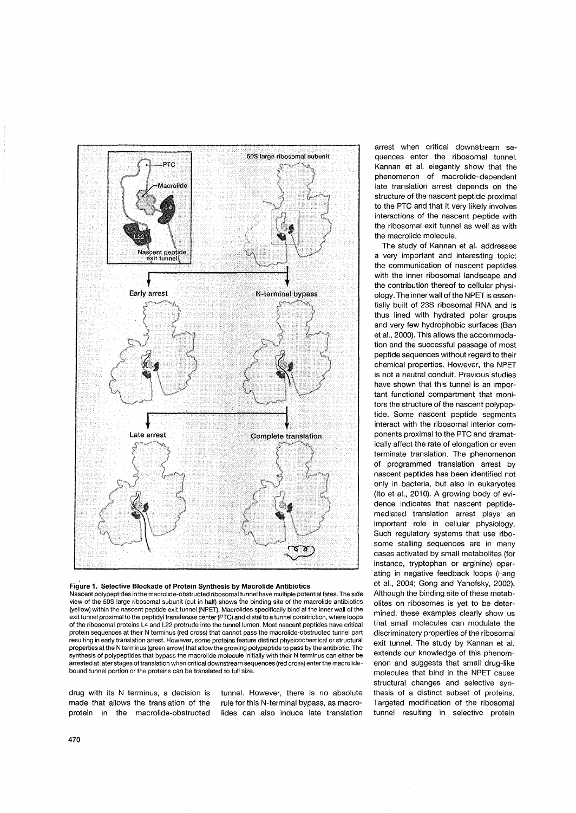

#### **Figure 1. Selective Blockade of Protein Synthesis by Macrolide Antibiotics**

Nascent polypeptides in the macrolide-obstructed ribosomal tunnel have multiple potential fates. The side view of the 50S large ribosomal subunit {cut in half} shows the binding site of the macrolide antibiotics (yellow) within the nascent peptide exit tunnel (NPE1). Macrolides specifically bind at the inner wall of the exit tunnel proximal to the peptidyl transferase center (PTC) and distal to a tunnel constriction, where loops of the ribosomal proteins L4 and L22 protrude into the tunnel lumen. Most nascent peptides have critical protein sequences at their N terminus (red cross) that cannot pass the macrolide-obstructed tunnel part resulting in early translation arrest. However, some proteins feature distinct physicochemical or structural properties at the N terminus (green arrow) that allow the growing polypeptide to pass by the antibiotic. The synthesis of polypeptides that bypass the macrolide molecule initially with their N terminus can either be arrested at later stages of translation when critical downstream sequences (red cross) enter the macrolidebound tunnel portion or the proteins can be translated to full size.

drug with its N terminus, a decision is made that allows the translation of the protein in the macrolide-obstructed tunnel. However, there is no absolute rule for this N-terminal bypass, as macrolides can also induce late translation

arrest when critical downstream sequences enter the ribosomal tunnel. Kannan et al. elegantly show that the phenomenon of macrolide-dependent late translation arrest depends on the structure of the nascent peptide proximal to the PTC and that it very likely involves interactions of the nascent peptide with the ribosomal exit tunnel as well as with the macrolide molecule.

The study of Kannan et al. addresses a very important and interesting topic; the communication of nascent peptides with the inner ribosomal landscape and the contribution thereof to cellular physiology. The inner wall of the NPET is essentially built of 23S ribosomal RNA and is thus lined with hydrated polar groups and very few hydrophobic surfaces (Ban et aI., 2000). This allows the accommodation and the successful passage of most peptide sequences without regard to their chemical properties. However, the NPET is not a neutral conduit. Previous studies have shown that this tunnel is an important functional compartment that monitors the structure of the nascent polypeptide. Some nascent peptide segments interact with the ribosomal interior components proximal to the PTC and dramatically affect the rate of elongation or even terminate translation. The phenomenon of programmed translation arrest by nascent peptides has been identified not only in bacteria, but also in eukaryotes (lto et aI., 2010). A growing body of evidence indicates that nascent peptidemediated translation arrest plays an important role in cellular physiology. Such regulatory systems that use ribosome stalling sequences are in many cases activated by small metabolites (for instance, tryptophan or arginine) operating in negative feedback loops (Fang et aI., 2004; Gong and Yanofsky, 2002). Although the binding site of these metabolites on ribosomes is yet to be determined, these examples clearly show us that small molecules can modulate the discriminatory properties of the ribosomal exit tunnel. The study by Kannan et al. extends our knowledge of this phenomenon and suggests that small drug-like molecules that bind in the NPET cause structural changes and selective synthesis of a distinct subset of proteins. Targeted modification of the ribosomal tunnel resulting in selective protein